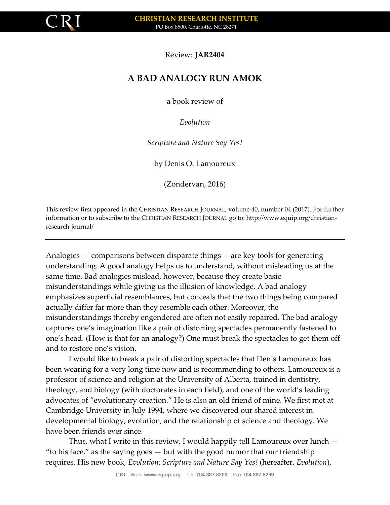

## Review: **JAR2404**

## **A BAD ANALOGY RUN AMOK**

a book review of

*Evolution*

*Scripture and Nature Say Yes!*

by Denis O. Lamoureux

(Zondervan, 2016)

This review first appeared in the CHRISTIAN RESEARCH JOURNAL, volume 40, number 04 (2017). For further information or to subscribe to the CHRISTIAN RESEARCH JOURNAL go to: http://www.equip.org/christianresearch-journal/

Analogies — comparisons between disparate things —are key tools for generating understanding. A good analogy helps us to understand, without misleading us at the same time. Bad analogies mislead, however, because they create basic misunderstandings while giving us the illusion of knowledge. A bad analogy emphasizes superficial resemblances, but conceals that the two things being compared actually differ far more than they resemble each other. Moreover, the misunderstandings thereby engendered are often not easily repaired. The bad analogy captures one's imagination like a pair of distorting spectacles permanently fastened to one's head. (How is that for an analogy?) One must break the spectacles to get them off and to restore one's vision.

I would like to break a pair of distorting spectacles that Denis Lamoureux has been wearing for a very long time now and is recommending to others. Lamoureux is a professor of science and religion at the University of Alberta, trained in dentistry, theology, and biology (with doctorates in each field), and one of the world's leading advocates of "evolutionary creation." He is also an old friend of mine. We first met at Cambridge University in July 1994, where we discovered our shared interest in developmental biology, evolution, and the relationship of science and theology. We have been friends ever since.

Thus, what I write in this review, I would happily tell Lamoureux over lunch — "to his face," as the saying goes — but with the good humor that our friendship requires. His new book, *Evolution: Scripture and Nature Say Yes!* (hereafter, *Evolution*),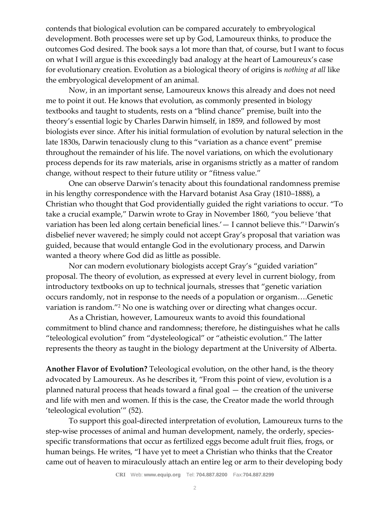contends that biological evolution can be compared accurately to embryological development. Both processes were set up by God, Lamoureux thinks, to produce the outcomes God desired. The book says a lot more than that, of course, but I want to focus on what I will argue is this exceedingly bad analogy at the heart of Lamoureux's case for evolutionary creation. Evolution as a biological theory of origins is *nothing at all* like the embryological development of an animal.

Now, in an important sense, Lamoureux knows this already and does not need me to point it out. He knows that evolution, as commonly presented in biology textbooks and taught to students, rests on a "blind chance" premise, built into the theory's essential logic by Charles Darwin himself, in 1859, and followed by most biologists ever since. After his initial formulation of evolution by natural selection in the late 1830s, Darwin tenaciously clung to this "variation as a chance event" premise throughout the remainder of his life. The novel variations, on which the evolutionary process depends for its raw materials, arise in organisms strictly as a matter of random change, without respect to their future utility or "fitness value."

One can observe Darwin's tenacity about this foundational randomness premise in his lengthy correspondence with the Harvard botanist Asa Gray (1810–1888), a Christian who thought that God providentially guided the right variations to occur. "To take a crucial example," Darwin wrote to Gray in November 1860, "you believe 'that variation has been led along certain beneficial lines.'— I cannot believe this."1Darwin's disbelief never wavered; he simply could not accept Gray's proposal that variation was guided, because that would entangle God in the evolutionary process, and Darwin wanted a theory where God did as little as possible.

Nor can modern evolutionary biologists accept Gray's "guided variation" proposal. The theory of evolution, as expressed at every level in current biology, from introductory textbooks on up to technical journals, stresses that "genetic variation occurs randomly, not in response to the needs of a population or organism….Genetic variation is random."<sup>2</sup> No one is watching over or directing what changes occur.

As a Christian, however, Lamoureux wants to avoid this foundational commitment to blind chance and randomness; therefore, he distinguishes what he calls "teleological evolution" from "dysteleological" or "atheistic evolution." The latter represents the theory as taught in the biology department at the University of Alberta.

**Another Flavor of Evolution?** Teleological evolution, on the other hand, is the theory advocated by Lamoureux. As he describes it, "From this point of view, evolution is a planned natural process that heads toward a final goal — the creation of the universe and life with men and women. If this is the case, the Creator made the world through 'teleological evolution'" (52).

To support this goal-directed interpretation of evolution, Lamoureux turns to the step-wise processes of animal and human development, namely, the orderly, speciesspecific transformations that occur as fertilized eggs become adult fruit flies, frogs, or human beings. He writes, "I have yet to meet a Christian who thinks that the Creator came out of heaven to miraculously attach an entire leg or arm to their developing body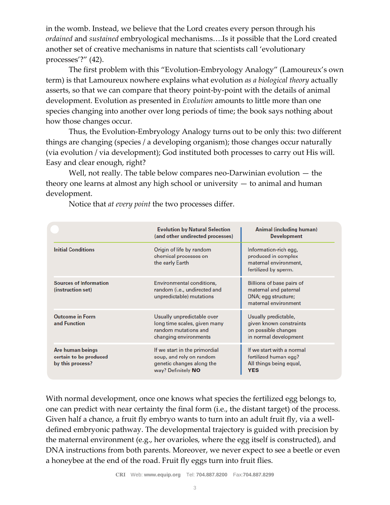in the womb. Instead, we believe that the Lord creates every person through his *ordained* and *sustained* embryological mechanisms….Is it possible that the Lord created another set of creative mechanisms in nature that scientists call 'evolutionary processes'?" (42).

The first problem with this "Evolution-Embryology Analogy" (Lamoureux's own term) is that Lamoureux nowhere explains what evolution *as a biological theory* actually asserts, so that we can compare that theory point-by-point with the details of animal development. Evolution as presented in *Evolution* amounts to little more than one species changing into another over long periods of time; the book says nothing about how those changes occur.

Thus, the Evolution-Embryology Analogy turns out to be only this: two different things are changing (species / a developing organism); those changes occur naturally (via evolution / via development); God instituted both processes to carry out His will. Easy and clear enough, right?

Well, not really. The table below compares neo-Darwinian evolution — the theory one learns at almost any high school or university — to animal and human development.

|                                                                | <b>Evolution by Natural Selection</b><br>(and other undirected processes)                                    | Animal (including human)<br><b>Development</b>                                                    |
|----------------------------------------------------------------|--------------------------------------------------------------------------------------------------------------|---------------------------------------------------------------------------------------------------|
| <b>Initial Conditions</b>                                      | Origin of life by random<br>chemical processes on<br>the early Earth                                         | Information-rich egg,<br>produced in complex<br>maternal environment,<br>fertilized by sperm.     |
| <b>Sources of Information</b><br>(instruction set)             | Environmental conditions,<br>random (i.e., undirected and<br>unpredictable) mutations                        | Billions of base pairs of<br>maternal and paternal<br>DNA; egg structure;<br>maternal environment |
| <b>Outcome in Form</b><br>and Function                         | Usually unpredictable over<br>long time scales, given many<br>random mutations and<br>changing environments  | Usually predictable,<br>given known constraints<br>on possible changes<br>in normal development   |
| Are human beings<br>certain to be produced<br>by this process? | If we start in the primordial<br>soup, and rely on random<br>genetic changes along the<br>way? Definitely NO | If we start with a normal<br>fertilized human egg?<br>All things being equal,<br><b>YES</b>       |

Notice that *at every point* the two processes differ.

With normal development, once one knows what species the fertilized egg belongs to, one can predict with near certainty the final form (i.e., the distant target) of the process. Given half a chance, a fruit fly embryo wants to turn into an adult fruit fly, via a welldefined embryonic pathway. The developmental trajectory is guided with precision by the maternal environment (e.g., her ovarioles, where the egg itself is constructed), and DNA instructions from both parents. Moreover, we never expect to see a beetle or even a honeybee at the end of the road. Fruit fly eggs turn into fruit flies.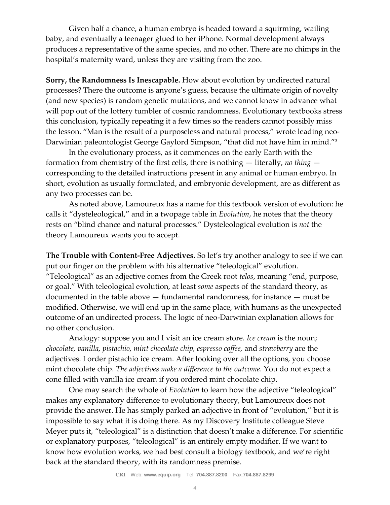Given half a chance, a human embryo is headed toward a squirming, wailing baby, and eventually a teenager glued to her iPhone. Normal development always produces a representative of the same species, and no other. There are no chimps in the hospital's maternity ward, unless they are visiting from the zoo.

**Sorry, the Randomness Is Inescapable.** How about evolution by undirected natural processes? There the outcome is anyone's guess, because the ultimate origin of novelty (and new species) is random genetic mutations, and we cannot know in advance what will pop out of the lottery tumbler of cosmic randomness. Evolutionary textbooks stress this conclusion, typically repeating it a few times so the readers cannot possibly miss the lesson. "Man is the result of a purposeless and natural process," wrote leading neo-Darwinian paleontologist George Gaylord Simpson, "that did not have him in mind."<sup>3</sup>

In the evolutionary process, as it commences on the early Earth with the formation from chemistry of the first cells, there is nothing — literally, *no thing*  corresponding to the detailed instructions present in any animal or human embryo. In short, evolution as usually formulated, and embryonic development, are as different as any two processes can be.

As noted above, Lamoureux has a name for this textbook version of evolution: he calls it "dysteleological," and in a twopage table in *Evolution*, he notes that the theory rests on "blind chance and natural processes." Dysteleological evolution is *not* the theory Lamoureux wants you to accept.

**The Trouble with Content-Free Adjectives.** So let's try another analogy to see if we can put our finger on the problem with his alternative "teleological" evolution. "Teleological" as an adjective comes from the Greek root *telos*, meaning "end, purpose, or goal." With teleological evolution, at least *some* aspects of the standard theory, as documented in the table above — fundamental randomness, for instance — must be modified. Otherwise, we will end up in the same place, with humans as the unexpected outcome of an undirected process. The logic of neo-Darwinian explanation allows for no other conclusion.

Analogy: suppose you and I visit an ice cream store. *Ice cream* is the noun; *chocolate, vanilla, pistachio, mint chocolate chip, espresso coffee,* and *strawberry* are the adjectives. I order pistachio ice cream. After looking over all the options, you choose mint chocolate chip. *The adjectives make a difference to the outcome.* You do not expect a cone filled with vanilla ice cream if you ordered mint chocolate chip.

One may search the whole of *Evolution* to learn how the adjective "teleological" makes any explanatory difference to evolutionary theory, but Lamoureux does not provide the answer. He has simply parked an adjective in front of "evolution," but it is impossible to say what it is doing there. As my Discovery Institute colleague Steve Meyer puts it, "teleological" is a distinction that doesn't make a difference. For scientific or explanatory purposes, "teleological" is an entirely empty modifier. If we want to know how evolution works, we had best consult a biology textbook, and we're right back at the standard theory, with its randomness premise.